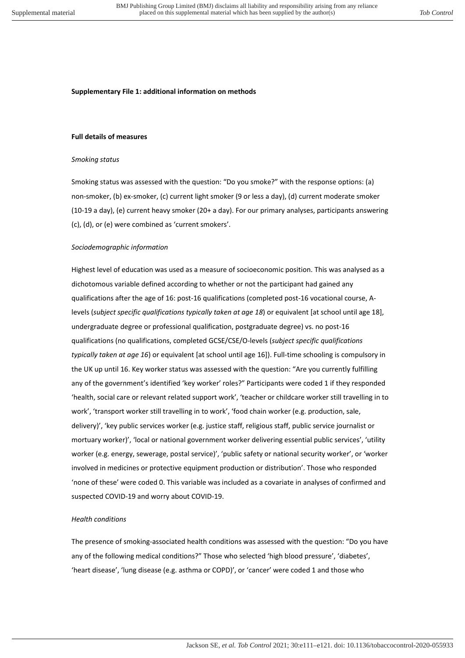#### **Supplementary File 1: additional information on methods**

#### **Full details of measures**

#### *Smoking status*

Smoking status was assessed with the question: "Do you smoke?" with the response options: (a) non-smoker, (b) ex-smoker, (c) current light smoker (9 or less a day), (d) current moderate smoker (10-19 a day), (e) current heavy smoker (20+ a day). For our primary analyses, participants answering (c), (d), or (e) were combined as 'current smokers'.

#### *Sociodemographic information*

Highest level of education was used as a measure of socioeconomic position. This was analysed as a dichotomous variable defined according to whether or not the participant had gained any qualifications after the age of 16: post-16 qualifications (completed post-16 vocational course, Alevels (*subject specific qualifications typically taken at age 18*) or equivalent [at school until age 18], undergraduate degree or professional qualification, postgraduate degree) vs. no post-16 qualifications (no qualifications, completed GCSE/CSE/O-levels (*subject specific qualifications typically taken at age 16*) or equivalent [at school until age 16]). Full-time schooling is compulsory in the UK up until 16. Key worker status was assessed with the question: "Are you currently fulfilling any of the government's identified 'key worker' roles?" Participants were coded 1 if they responded 'health, social care or relevant related support work', 'teacher or childcare worker still travelling in to work', 'transport worker still travelling in to work', 'food chain worker (e.g. production, sale, delivery)', 'key public services worker (e.g. justice staff, religious staff, public service journalist or mortuary worker)', 'local or national government worker delivering essential public services', 'utility worker (e.g. energy, sewerage, postal service)', 'public safety or national security worker', or 'worker involved in medicines or protective equipment production or distribution'. Those who responded 'none of these' were coded 0. This variable was included as a covariate in analyses of confirmed and suspected COVID-19 and worry about COVID-19.

#### *Health conditions*

The presence of smoking-associated health conditions was assessed with the question: "Do you have any of the following medical conditions?" Those who selected 'high blood pressure', 'diabetes', 'heart disease', 'lung disease (e.g. asthma or COPD)', or 'cancer' were coded 1 and those who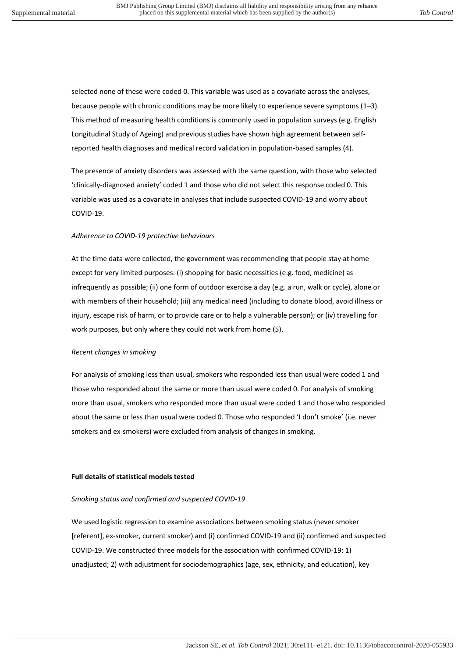selected none of these were coded 0. This variable was used as a covariate across the analyses, because people with chronic conditions may be more likely to experience severe symptoms (1–3). This method of measuring health conditions is commonly used in population surveys (e.g. English Longitudinal Study of Ageing) and previous studies have shown high agreement between selfreported health diagnoses and medical record validation in population-based samples (4).

The presence of anxiety disorders was assessed with the same question, with those who selected 'clinically-diagnosed anxiety' coded 1 and those who did not select this response coded 0. This variable was used as a covariate in analyses that include suspected COVID-19 and worry about COVID-19.

### *Adherence to COVID-19 protective behaviours*

At the time data were collected, the government was recommending that people stay at home except for very limited purposes: (i) shopping for basic necessities (e.g. food, medicine) as infrequently as possible; (ii) one form of outdoor exercise a day (e.g. a run, walk or cycle), alone or with members of their household; (iii) any medical need (including to donate blood, avoid illness or injury, escape risk of harm, or to provide care or to help a vulnerable person); or (iv) travelling for work purposes, but only where they could not work from home (5).

# *Recent changes in smoking*

For analysis of smoking less than usual, smokers who responded less than usual were coded 1 and those who responded about the same or more than usual were coded 0. For analysis of smoking more than usual, smokers who responded more than usual were coded 1 and those who responded about the same or less than usual were coded 0. Those who responded 'I don't smoke' (i.e. never smokers and ex-smokers) were excluded from analysis of changes in smoking.

# **Full details of statistical models tested**

# *Smoking status and confirmed and suspected COVID-19*

We used logistic regression to examine associations between smoking status (never smoker [referent], ex-smoker, current smoker) and (i) confirmed COVID-19 and (ii) confirmed and suspected COVID-19. We constructed three models for the association with confirmed COVID-19: 1) unadjusted; 2) with adjustment for sociodemographics (age, sex, ethnicity, and education), key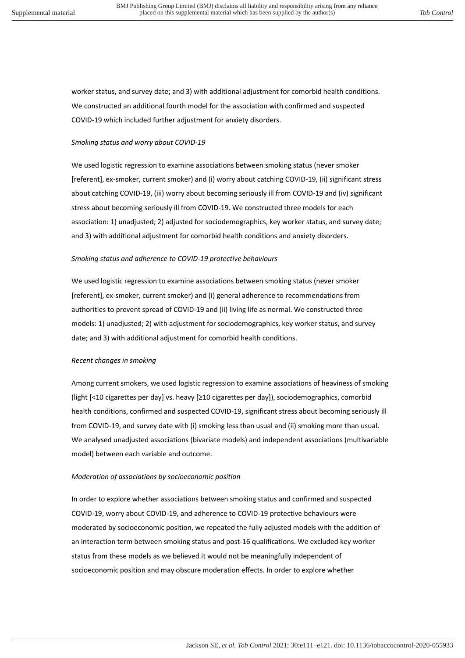worker status, and survey date; and 3) with additional adjustment for comorbid health conditions. We constructed an additional fourth model for the association with confirmed and suspected COVID-19 which included further adjustment for anxiety disorders.

# *Smoking status and worry about COVID-19*

We used logistic regression to examine associations between smoking status (never smoker [referent], ex-smoker, current smoker) and (i) worry about catching COVID-19, (ii) significant stress about catching COVID-19, (iii) worry about becoming seriously ill from COVID-19 and (iv) significant stress about becoming seriously ill from COVID-19. We constructed three models for each association: 1) unadjusted; 2) adjusted for sociodemographics, key worker status, and survey date; and 3) with additional adjustment for comorbid health conditions and anxiety disorders.

# *Smoking status and adherence to COVID-19 protective behaviours*

We used logistic regression to examine associations between smoking status (never smoker [referent], ex-smoker, current smoker) and (i) general adherence to recommendations from authorities to prevent spread of COVID-19 and (ii) living life as normal. We constructed three models: 1) unadjusted; 2) with adjustment for sociodemographics, key worker status, and survey date; and 3) with additional adjustment for comorbid health conditions.

# *Recent changes in smoking*

Among current smokers, we used logistic regression to examine associations of heaviness of smoking (light [<10 cigarettes per day] vs. heavy [≥10 cigarettes per day]), sociodemographics, comorbid health conditions, confirmed and suspected COVID-19, significant stress about becoming seriously ill from COVID-19, and survey date with (i) smoking less than usual and (ii) smoking more than usual. We analysed unadjusted associations (bivariate models) and independent associations (multivariable model) between each variable and outcome.

# *Moderation of associations by socioeconomic position*

In order to explore whether associations between smoking status and confirmed and suspected COVID-19, worry about COVID-19, and adherence to COVID-19 protective behaviours were moderated by socioeconomic position, we repeated the fully adjusted models with the addition of an interaction term between smoking status and post-16 qualifications. We excluded key worker status from these models as we believed it would not be meaningfully independent of socioeconomic position and may obscure moderation effects. In order to explore whether